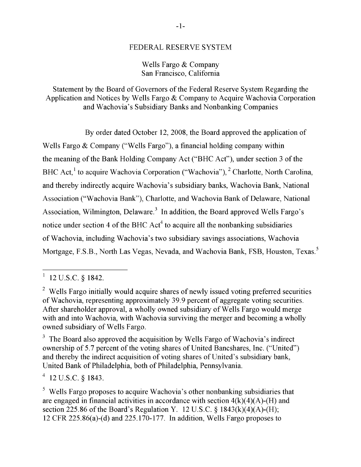#### FEDERAL RESERVE SYSTEM

## Wells Fargo & Company San Francisco, California

Statement by the Board of Governors of the Federal Reserve System Regarding the Application and Notices by Wells Fargo & Company to Acquire Wachovia Corporation and Wachovia's Subsidiary Banks and Nonbanking Companies

By order dated October 12, 2008, the Board approved the application of Wells Fargo & Company ("Wells Fargo"), a financial holding company within the meaning of the Bank Holding Company Act ("BHC Act"), under section 3 of the acquire Wachovia Corporation ("Wachovia"), <sup>2</sup> Charlotte, North Carolina, ndirectly acquire Wachovia's subsidiary banks, Wachovia Bank, National Association ("Wachovia Bank"), Charlotte, and Wachovia Bank of Delaware, National Association, Wilmington, Delaware.<sup>3</sup> In addition, the Board approved Wells Fargo's notice under section 4 of the BHC Act<sup>4</sup> to acquire all the nonbanking subsidiaries of Wachovia, including Wachovia's two subsidiary savings associations, Wachovia Mortgage, F.S.B., North Las Vegas, Nevada, and Wachovia Bank, FSB, Houston, Texas.<sup>5</sup>

securities. After shareholder approval, a wholly owned subsidiary of Wells

 $t^4$  12 U.S.C. § 1843.

 $1842.$ 

the merger and becoming a wholly owned subsidiary of Wells Fargo. End footnote.] Initially would acquire shares of newly issued voting preferred securities of Wachovia, representing approximately 39.9 percent of aggregate voting securities. After shareholder approval, a wholly owned subsidiary of Wells Fargo would merge. with and into Wachovia, with Wachovia surviving the merger and becoming a wholly owned subsidiary of Wells Fargo.

 $^3$  The Board also approved the acquisition by Wells Fargo of Wachovia's indirect ownership of 5.7 percent of the voting shares of United Bancshares, Inc. ("United") and thereby the indirect acquisition of voting shares of United's subsidiary bank, approved Wells Barbot of I  $\alpha$  is the BHC and the BHC and the BHC and the BHC and  $\alpha$  $\sum_{i=1}^{n}$ 

 $\sigma$ <sup>5</sup> Wells Fargo proposes to acquire Wachovia's other nonbanking subsidiaries that are engaged in financial activities in accordance with section  $4(k)(4)(A)$ -(H) and section 225.86 of the Board's Regulation Y. 12 U.S.C.  $\frac{1843(k)(4)(A)-1}{B(k)}$ ; section 225.80 of the Board's Regulation 1. 12 U.S.C. 8 1645(K)(4)(  $12$  CFK  $225.80(a)-(0)$  and  $225.170-177$ . In addition, wens rargo propo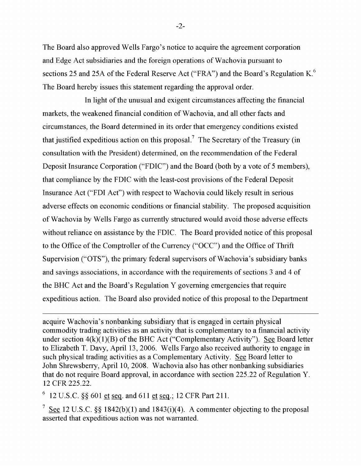The Board also approved Wells Fargo's notice to acquire the agreement corporation and Edge Act subsidiaries and the foreign operations of Wachovia pursuant to sections 25 and 25A of the Federal Reserve Act ("FRA") and the Board's Regulation K.<sup>6</sup> The Board hereby issues this statement regarding the approval order.

In light of the you and and exigent eigeneeter age offect. In light of the unusual and exigent circumstances affecting the financial markets, the weakened financial condition of Wachovia, and all other facts and circumstances, the Board determined in its order that emergency conditions existed  $\epsilon$ xpeditious action on this proposal. $\prime$  The Secretary of the Treas consultation with the President) determined, on the recommendation of the Federal Deposit Insurance Corporation ("FDIC") and the Board (both by a vote of 5 members), that compliance by the FDIC with the least-cost provisions of the Federal Deposit Insurance Act ("FDI Act") with respect to Wachovia could likely result in serious adverse effects on economic conditions or financial stability. The proposed acquisition of Wachovia by Wells Fargo as currently structured would avoid those adverse effects without reliance on assistance by the FDIC. The Board provided notice of this proposal to the Office of the Comptroller of the Currency ("OCC") and the Office of Thrift Supervision ("OTS"), the primary federal supervisors of Wachovia's subsidiary banks and savings associations, in accordance with the requirements of sections 3 and 4 of the BHC Act and the Board's Regulation Y governing emergencies that require expeditious action. The Board also provided notice of this proposal to the Department

 $\overline{\phantom{a}}$  second the Treasury (in consultation with the President) determined, on the President (in consultation  $\overline{\phantom{a}}$ ovia s nonbanking subsidiary that is engaged in certain physical commodity trading activities as an activity that is complementary to a financial activity under section  $4(k)(1)(B)$  of the BHC Act ("Complementary Activity"). See Board letter to Elizabeth T. Davy, April 13, 2006. Wells Fargo also received authority to engage in such physical trading activities as a Complementary Activity. See Board letter to John Shrewsberry, April 10, 2008. Wachovia also has other nonbanking subsidiaries that do not require Board approval, in accordance with section 225.22 of Regulation Y.<br>12 CFR 225.22.  $\mathbf{C}^2$ .

 $6$  12 U.S.C. §§ 601 et seq. and 611 et seq.; 12 CFR Part 211.  $3^{3001}$  <u>of seq</u>. and  $011$  <u>of seq</u>., 12 of K f art 211.

C.  $\S$ § 1842(b)(1) and 1843(i)(4). A commenter objecting to the proposal

 $-2-$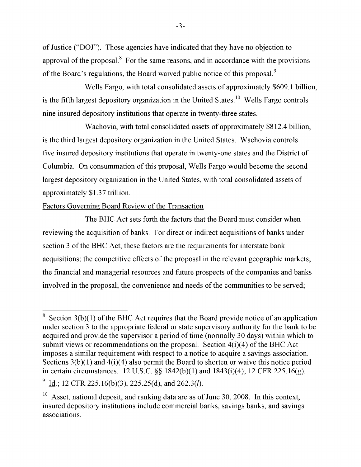of Justice ("DOJ"). Those agencies have indicated that they have no objection to approval of the proposal. $^8$  For the same reasons, and in accordance with the provisions of the Board's regulations the Board waived public notice of this proposal  $^9$ st the bourd's regulations, the bourd' warred plasme house of and proposal.

Wells Fargo, with total consolidated assets of approximately \$609.1 billion, is the fifth lergest depecitory exemigation in the United States  $^{10}$  Wells Ferge controls is the thul targest depository organization in the Office States. Wents I algo controls nine insured depository institutions that operate in twenty-three states.

and  $\overline{M}$  is the same reasons, and in the same reasons, and in the same reasons, and in the same reasons, and in the same reasons, and in the same reasons, and in the same reasons, and in the same reasons, and in the s wachovia, with total consolidated assets of approximately  $\mathfrak{so}_{12.4}$  biffion, is the third largest depository organization in the United States. Wachovia controls  $\sigma$   $\ddot{\phantom{1}}$ epository institutions that operate in twenty-one states and the District of Columbia. On consummation of this proposal, Wells Fargo would become the second  $10.10<sub>1</sub>$  deposit, and ranking data are as of  $\frac{1}{2}$ tory organization in the United States, with total consolidated assets of approximately \$1.37 trillion. printe institutions that operate insured depository institutions that operations the states.

## Factors Governing Board Review of the Transaction

The BHC Act sets forth the factors that the Board must consider when reviewing the acquisition of banks. For direct or indirect acquisitions of banks under section 3 of the BHC Act, these factors are the requirements for interstate bank acquisitions; the competitive effects of the proposal in the relevant geographic markets; the financial and managerial resources and future prospects of the companies and banks involved in the proposal; the convenience and needs of the communities to be served;

Section  $3(b)(1)$  of the BHC Act requires that the Board provide notice of an application under section 3 to the appropriate federal or state supervisory authority for the bank to be acquired and provide the supervisor a period of time (normally 30 days) within which to submit views or recommendations on the proposal. Section  $4(i)(4)$  of the BHC Act imposes a similar requirement with respect to a notice to acquire a savings association.<br>Sections  $3(b)(1)$  and  $4(i)(4)$  also permit the Board to shorten or waive this notice period in certain circumstances. 12 U.S.C.  $\S$  1842(b)(1) and 1843(i)(4); 12 CFR 225.16(g).

Id.; 12 CFR 225.16(b)(3), 225.25(d), and 262.3(l).

 $10$  Asset, national deposit, and ranking data are as of June 30, 2008. In this context, insured depository institutions include commercial banks, savings banks, and savings associations.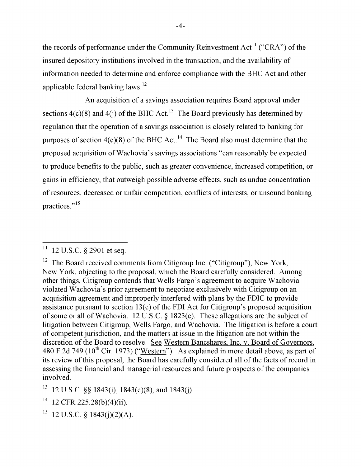the records of performance under the Community Reinvestment Act<sup>11</sup> ("CRA") of the insured depository institutions involved in the transaction; and the availability of information needed to determine and enforce compliance with the BHC Act and other enforce compliance with the BHC Act and other applicable federal banksing laws. applicable 12. The Board received comments from Citigation Comments from Citigation Inc. ( $\alpha$ ), New York, New York, New York, New York, New York, New York, New York, New York, New York, New York, New York, New York, New Y

An acquisition of a savings association requires Board approval under  $\frac{1}{\sqrt{2}}$  other things, Citigroup contends that Wells Fargo's agreement to accurrent to accurrent to accurrent to accurrent to accurrent to accurrent to accurrent to accurrent to accurrent to accurrent to accurrent to sections  $4(c)(8)$  and  $4(j)$  of the BHC Act.<sup>25</sup> The Board previously has determined b regulation that the operation of a savings association is closely related to banking for assistance the section of the FDI Act for the FDI Action 13 (contains to committee accounting to: purposes of section 4(c)(8) of the BHC Act.<sup>14</sup> The Board also must determine that the litigation between Citigation between Citigation Citigation in the countries of the literature and the literatur<br>The courtproposed acquisition of wathevia's savings associations "can reasonably be expecte to produce benefits to the public, such as greater convenience, increased competition, or  $\frac{1}{\sqrt{2}}$ gains in criterially, that outweigh possible adverse effects, such as undue concentration of resources, decreased or unfair competition, conflicts of interests, or unsound banking practices."<sup>15</sup>

purposes of section 4(c)(8) of the BHC Act.<sup>14</sup> [Footnote 14.  $11$  12 U.S.C. § 2901 et seq.

 $12$  The Board received comments from Citigroup Inc. ("Citigroup"), New York, New York, objecting to the proposal, which the Board carefully considered. Among other things, Citigroup contends that Wells Fargo's agreement to acquire Wachovia of resources and went and supposed to acquire water or unit of the competition, and the competition of the continuation, or an violated wa acquisition agreement and improperly interfered with plans by the FDIC to provide. assistance pursuant to section  $13(c)$  of the FDI Act for Citigroup's proposed acquisition of some or all of Wachovia. 12 U.S.C.  $\S$  1823(c). These allegations are the subject of litigation between Citigroup, Wells Fargo, and Wachovia. The litigation is before a court of competent jurisdiction, and the matters at issue in the litigation are not within the discretion of the Board to resolve. See Western Bancshares, Inc. v. Board of Governors, 480 F.2d 749 (10<sup>th</sup> Cir. 1973) ("Western"). As explained in more detail above, as part of its review of this proposal, the Board has carefully considered all of the facts of record in assessing the financial and managerial resources and future prospects of the companies involved.

<sup>12</sup> U.S.C. §§ 1843(i), 1843(c)(8), and 1843(j).

<sup>&</sup>lt;sup>14</sup> 12 CFR 225.28(b)(4)(ii).

<sup>&</sup>lt;sup>15</sup> 12 U.S.C. § 1843(j)(2)(A).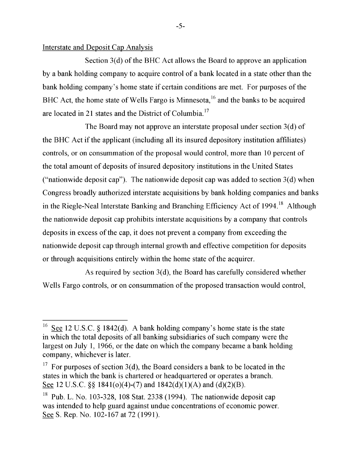#### Interstate and Deposit Cap Analysis

Section 3(d) of the BHC Act allows the Board to approve an application by a bank holding company to acquire control of a bank located in a state other than the bank holding company's home state if certain conditions are met. For purposes of the BHC Act, the home state of Wells Fargo is Minnesota,  $^{16}$  and the banks to be acquired are located in 21 states and the District of Columbia.<sup>17</sup>

 $\Gamma$  is  $D$  and  $\Gamma$  all banks of all banking subsidiary subsidiary  $\gamma$  (d)  $\Gamma$ The board may not approve an interstate proposal under section  $S(\mathbf{u})$  or the BHC Act if the applicant (including all its insured depository institution affiliates)  $\alpha$  are separated in 21 states and the District of Columbia. i consummation of the proposal would control, more than 10 percent of the total amount of deposits of insured depository institutions in the United States  $\mathbb{S}_{\mathbf{r}}$  and 1841( $\mathbf{r}$ ) and 1842(d)(1)(A) and 1842(d)(1)(B). End for  $\mathbf{r}$ ("nationwide deposit cap"). The nationwide deposit cap was added to section  $3(d)$  when Congress broadly authorized interstate acquisitions by bank holding companies and banks controls interstate acquisitions of their normal companies and called Neal Interstate Banking and Branching Efficiency Act of 1994.<sup>18</sup> Although (a) deposit cap probibits interstate acquisitions by a company that controls  $\alpha$  deposit cap promotis interstate acquisitions by a company that compose deposits in excess of the cap, it does not prevent a company from exceeding the nation wide deposit cap through internal growth and effective competition for deposits or through acquisitions entirely within the home state of the acquirer.

 $\lambda$  concentrations of the second  $\alpha$  (d) the Depart less concentration of  $\alpha$  102-167 at 72 (1991). As required by section  $\mathfrak{I}(\mathbf{u})$ , the Doard has carefully considered whether Wells Fargo controls, or on consummation of the proposed transaction would control,

 $\overline{\phantom{a}}$  required by section 3(d), the Board has carefully considered whether  $\overline{\phantom{a}}$ 

<sup>16</sup>  $\therefore$   $\in$   $\{8\,1842$ (d). A bank holding company's home state is the state in which the total deposits of all banking subsidiaries of such company were the largest on July 1, 1966, or the date on which the company became a bank holding company, whichever is later.

<sup>&</sup>lt;sup>17</sup> For purposes of section 3(d), the Board considers a bank to be located in the states in which the bank is chartered or headquartered or operates a branch. See 12 U.S.C. §§ 1841( $o$ )(4)-(7) and 1842(d)(1)(A) and (d)(2)(B).

 $^{18}$  Pub. L. No. 103-328, 108 Stat. 2338 (1994). The nationwide deposit cap was intended to help guard against undue concentrations of economic power. See S. Rep. No. 102-167 at 72 (1991).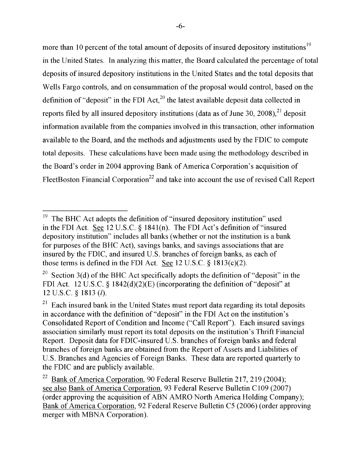more than 10 percent of the total amount of deposits of insured depository institutions<sup>19</sup> in the United States. In analyzing this matter, the Board calculated the percentage of total deposits of insured depository institutions in the United States and the total deposits that Wells Fargo controls, and on consummation of the proposal would control, based on the definition of "deposit" in the FDI Act,<sup>20</sup> the latest available deposit data collected in reports filed by all insured depository institutions (data as of June 30, 2008),  $^{21}$  deposit information available from the companies involved in this transaction, other information available to the Board, and the methods and adjustments used by the FDIC to compute total deposits. These calculations have been made using the methodology described in the Board's order in 2004 approving Bank of America Corporation's acquisition of FleetBoston Financial Corporation<sup>22</sup> and take into account the use of revised Call Report

 $t = \frac{1}{\sqrt{2\pi}}$ I he BHC Act adopts the definition of insured depository institution used in the FDI Act. See 12 U.S.C.  $\S$  1841(n). The FDI Act's definition of "insured depository institution" includes all banks (whether or not the institution is a bank for purposes of the BHC Act), savings banks, and savings associations that are insured by the FDIC, and insured U.S. branches of foreign banks, as each of those terms is defined in the FDI Act. See  $12 \text{ U.S.C.}$  §  $1813 \text{(c)}(2)$ .

<sup>&</sup>lt;sup>20</sup> Section 3(d) of the BHC Act specifically adopts the definition of "deposit" in the FDI Act. 12 U.S.C. § 1842(d)(2)(E) (incorporating the definition of "deposit" at 12 U.S.C.  $\S$  1813 ( $l$ ).  $\frac{1}{\sqrt{2}}$  and  $\frac{1}{\sqrt{2}}$  and  $\frac{1}{\sqrt{2}}$ .

 $\mathbb{R}^n$  Each insured bank in the United States must report data regarding its total deposits in accordance with the definition of "deposit" in the FDI Act on the institution's Consolidated Report of Condition and Income ("Call Report"). Each insured savings association similarly must report its total deposits on the institution's Thrift Financial Report. Deposit data for FDIC-insured U.S. branches of foreign banks and federal branches of foreign banks are obtained from the Report of Assets and Liabilities of U.S. Branches and Agencies of Foreign Banks. These data are reported quarterly to the FDIC and are publicly available.

 $t^{22}$  Board of America Corporation, 00 Federal Become Balletin 217, 210 (2004). FleetBoston Financial Corporation<sup>22</sup> [Footnote 22. Bank of America Corporation, see also Bank of America Corporation, 93 Federal Reserve Bulletin C109 (2007) (order approving the acquisition of ABN AMRO North America Holding Company); Bank of America Corporation, 92 Federal Reserve Bulletin C5 (2006) (order approving merger with MBNA Corporation).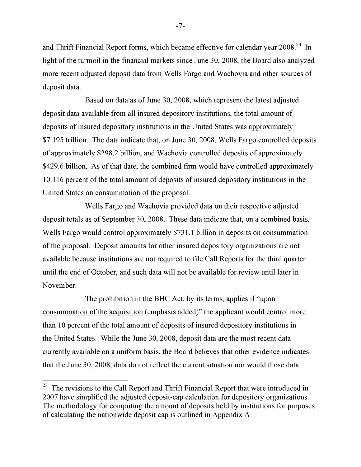and Thrift Financial Report forms, which became effective for calendar year 2008.<sup>23</sup> In light of the turmoil in the financial markets since June 30, 2008, the Board also analyzed more recent adjusted deposit data from Wells Fargo and Wachovia and other sources of deposit data.

 $\Omega$  and on data as of lyne 20000 which represent the latest odivated  $\Omega$  $\Delta$ ascu on uata as of June 50, 2006, which represent the facest auju deposit data available from all insured depository institutions, the total amount of  $\overline{A}$  and  $\overline{A}$  are the turnote. In light of the financial markets since  $\overline{A}$  markets since  $\overline{A}$  and  $\overline{A}$  and  $\overline{A}$  are the financial markets since  $\overline{A}$  and  $\overline{A}$  and  $\overline{A}$  and  $\overline{A}$  and deposits of insured depository institutions in the United States was approximately \$7.195 trillion. The data indicate that, on June 30, 2008, Wells Fargo controlled deposits of approximately \$298.2 billion, and Wachovia controlled deposits of approximately \$429.6 billion. As of that date, the combined firm would have controlled approximately 10.116 percent of the total amount of deposits of insured depository institutions in the United States on consummation of the proposal.

Wells Fargo and Wachovia provided data on their respective adjusted deposit totals as of September 30, 2008. These data indicate that, on a combined basis, Wells Fargo would control approximately \$731.1 billion in deposits on consummation of the proposal. Deposit amounts for other insured depository organizations are not available because institutions are not required to file Call Reports for the third quarter until the end of October, and such data will not be available for review until later in  $N$ ovember

The prohibition in the BHC Act, by its terms, applies if "upon consummation of the acquisition (emphasis added)" the applicant would control more than 10 percent of the total amount of deposits of insured depository institutions in the United States. While the June 30, 2008, deposit data are the most recent data currently available on a uniform basis, the Board believes that other evidence indicates that the June 30, 2008, data do not reflect the current situation nor would those data

 $-7-$ 

 $t<sup>23</sup>$  The revisions to the Call Report and Thrift Financial Report that were introduced in 2007 have simplified the adjusted deposit-cap calculation for depository organizations.<br>The methodology for computing the amount of deposits held by institutions for purposes of calculating the nationwide deposit cap is outlined in Appendix A.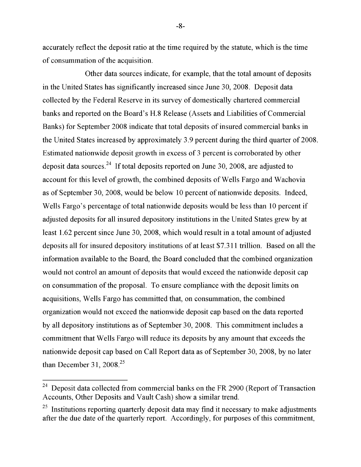accurately reflect the deposit ratio at the time required by the statute, which is the time of consummation of the acquisition.

Other data sources indicate, for example, that the total amount of deposits in the United States has significantly increased since June 30, 2008. Deposit data collected by the Federal Reserve in its survey of domestically chartered commercial banks and reported on the Board's H.8 Release (Assets and Liabilities of Commercial Banks) for September 2008 indicate that total deposits of insured commercial banks in the United States increased by approximately 3.9 percent during the third quarter of 2008. Estimated nationwide deposit growth in excess of 3 percent is corroborated by other deposit data sources.<sup>24</sup> If total deposits reported on June 30, 2008, are adjusted to account for this level of growth, the combined deposits of Wells Fargo and Wachovia as of September 30, 2008, would be below 10 percent of nationwide deposits. Indeed, Wells Fargo's percentage of total nationwide deposits would be less than 10 percent if adjusted deposits for all insured depository institutions in the United States grew by at least 1.62 percent since June 30, 2008, which would result in a total amount of adjusted deposits all for insured depository institutions of at least \$7.311 trillion. Based on all the information available to the Board, the Board concluded that the combined organization would not control an amount of deposits that would exceed the nationwide deposit cap on consummation of the proposal. To ensure compliance with the deposit limits on acquisitions, Wells Fargo has committed that, on consummation, the combined organization would not exceed the nationwide deposit cap based on the data reported by all depository institutions as of September 30, 2008. This commitment includes a commitment that Wells Fargo will reduce its deposits by any amount that exceeds the nationwide deposit cap based on Call Report data as of September 30, 2008, by no later than December 31,  $2008<sup>25</sup>$ 

 $-8-$ 

deposits reported on June 30, 2008, are adjusted to account for the adjusted to account for this level of grow<br>The adjusted to account for this level of growth, the adjusted to account for the adjusted to account for the ta collected from commercial banks on the FR 2900 (Report of Transaction Accounts, Other Deposits and Vault Cash) show a similar trend.

 $25$  Institutions reporting quarterly deposit data may find it necessary to make adjustments repositing quarterly uppose untu they that it necessary to make any assuments 2008, which we are deposited to the total and the property at the community,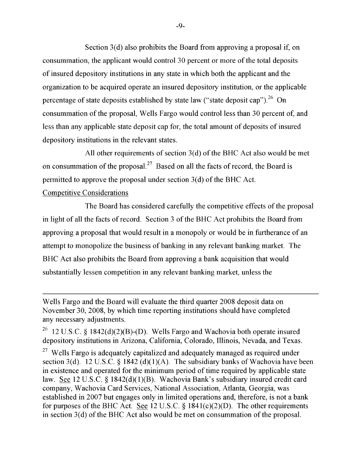Section 3(d) also prohibits the Board from approving a proposal if, on consummation, the applicant would control 30 percent or more of the total deposits of insured depository institutions in any state in which both the applicant and the organization to be acquired operate an insured depository institution, or the applicable percentage of state deposits established by state law ("state deposit cap").<sup>26</sup> On consummation of the proposal, Wells Fargo would control less than 30 percent of, and less than any applicable state deposit cap for, the total amount of deposits of insured depository institutions in the relevant states.

 $M_1$  other requirements of section  $2(d)$  of the DIIC Art also would be used An other requirements or section  $\mathfrak{I}(\mathfrak{a})$  or the DTIC Act also would be firet on consummation of the proposal.<sup>27</sup> Based on all the facts of record, the Board is cap for, the total amount of  $\mathcal{L}(1)$  and  $\mathcal{L}(2)$  insured depositors in the relevant of insured depositors in the relevant of institutions in the relevant of insured depositors in the relevant of insured depositors i pprove

# Competitive Considerations

 $\sim$  consuming  $\sim$  the proposal. The Board has considered carefully the competitive effects of the  $\overline{1}$ the facts of record  $\alpha$  Section 3 of the RHC Act prohibits the Board We have critician sounded or and operation for the minimum periodic conduction. approving a proposal that would result in a monopoly or would be in furtherance of an nopolize the business of banking in any relevant banking market. The nopolize the bushess of banking in any felevant banking market. The BHC Act also prohibits the Board from approving a bank acquisition that would for  $\epsilon$  purposes of the BHC  $\epsilon$  in a correct property begins of the other see 12 or the other see 12 U.S.C. essen competition in any relevant banking market, unless the

permitted to approve the proposal under section 3(d) of the BHC Act.

Wells Fargo and the Board will evaluate the third quarter 2008 deposit data on November 30, 2008, by which time reporting institutions should have completed any necessary adjustments.

<sup>&</sup>lt;sup>26</sup> 12 U.S.C. § 1842(d)(2)(B)-(D). Wells Fargo and Wachovia both operate insured depository institutions in Arizona, California, Colorado, Illinois, Nevada, and Texas.

<sup>&</sup>lt;sup>27</sup> Wells Fargo is adequately capitalized and adequately managed as required under section 3(d). 12 U.S.C. § 1842 (d)(1)(A). The subsidiary banks of Wachovia have been in existence and operated for the minimum period of time required by applicable state law. See 12 U.S.C. § 1842(d)(1)(B). Wachovia Bank's subsidiary insured credit card company, Wachovia Card Services, National Association, Atlanta, Georgia, was established in 2007 but engages only in limited operations and, therefore, is not a bank for purposes of the BHC Act. See 12 U.S.C.  $\S$  1841(c)(2)(D). The other requirements in section  $3(d)$  of the BHC Act also would be met on consummation of the proposal.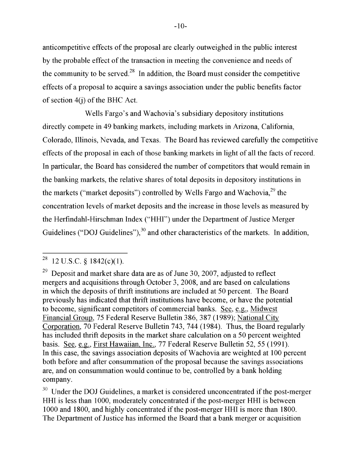anticompetitive effects of the proposal are clearly outweighed in the public interest by the probable effect of the transaction in meeting the convenience and needs of the community to be served.<sup>28</sup> In addition, the Board must consider the competitive effects of a proposal to acquire a savings association under the public benefits factor savings association under the public benefits factor of the  $p$ 

Wells Fargo's and Wachovia's subsidiary depository institutions directly compete in 49 banking markets, including markets in Arizona, California, Colorado, Illinois, Nevada, and Texas. The Board has reviewed carefully the competitive effects of the proposal in each of those banking markets in light of all the facts of record. In particular, the Board has considered the number of competitors that would remain in the banking markets, the relative shares of total deposits in depository institutions in the markets ("market deposits") controlled by Wells Fargo and Wachovia,<sup>29</sup> the concentration levels of market deposits and the increase in those levels as measured by mergers and accuracy  $\mathbf{1}$ the Herfindahl-Hirschman Index ("HHI") under the Department of Justice Merg Guidelines ("DOI Guidelines")  $^{30}$  and other characteristics of the markets  $\,$  In addi  $\sigma$  becomes  $\sigma$  becomes  $\sigma$ , and other characteristics of the mathem.

 $30$  Under the DOJ Guidelines, a market is considered unconcentrated if the post-merger HHI is less than 1000, moderately concentrated if the post-merger HHI is between 1000 and 1800, and highly concentrated if the post-merger HHI is more than 1800. The Department of Justice has informed the Board that a bank merger or acquisition  $\mathcal{C}$  and other non-depository financial other non-depository financial other non-depository financial order non-depository financial order non-depository financial order  $\mathcal{C}$ 

 $\overline{C}$ <sup>28</sup>  $\overline{C}$  Federal Reserve Bulletin 743, 744 (1984). Thus, the Board regularly regularly regularly regularly regularly regularly regular regular regular regular regular regular regular regular regular regular r  $\sim$  12 U.S.C. § 1842(c)(1).

 $^{29}$  Deposit and market share data are as of June 30, 2007, adjusted to reflect mergers and acquisitions through October 3, 2008, and are based on calculations in which the deposits of thrift institutions are included at 50 percent. The Board previously has indicated that thrift institutions have become, or have the potential to become, significant competitors of commercial banks. See, e.g., Midwest Financial Group, 75 Federal Reserve Bulletin 386, 387 (1989); National City Corporation, 70 Federal Reserve Bulletin 743, 744 (1984). Thus, the Board regularly has included thrift deposits in the market share calculation on a 50 percent weighted basis. See, e.g., First Hawaiian, Inc., 77 Federal Reserve Bulletin 52, 55 (1991). In this case, the savings association deposits of Wachovia are weighted at 100 percent  $\frac{1}{2}$  is between  $\frac{1}{2}$  is and  $\frac{1}{2}$  is between  $\frac{1}{2}$  is and  $\frac{1}{2}$  is another position of the post-merger  $\frac{1}{2}$  is another position of the post-merger  $\frac{1}{2}$  is another position.  $\mu$  and consummation of the proposal because the savings associations are, and on consummation would continue to be, controlled by a bank holding company.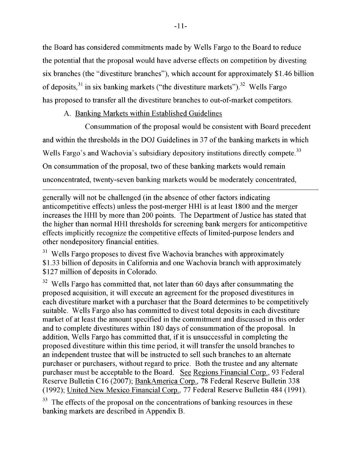the Board has considered commitments made by Wells Fargo to the Board to reduce the potential that the proposal would have adverse effects on competition by divesting six branches (the "divestiture branches"), which account for approximately \$1.46 billion of deposits,  $31$  in six banking markets ("the divestiture markets").  $32$  Wells Fargo has proposed to transfer all the divestiture branches to out-of-market competitors  $\overline{\phantom{a}}$ with a proposed to white ext in the without content to the original voltpension.

A. Banking Markets within Established Guidelines

Consummation of the proposel would be consistent with Roard preceder consummation of the proposal would be consistent with board precedent and within the thresholds in the DOJ Guidelines in 37 of the banking markets in which  $\overline{M}$  divesting to an expected in each diversity in each of at least the activities of a mount specified in the amount of  $33$ wens margo is and wachovia is subsidiary depository institutions directly compete. On consummation of the proposal, two of these banking markets would remain unsuccessful in completing the proposed divestiture with the proposed divestiture within this time period, it will be performed to the period, it will be performed to the period, it will be performed to the period, it wil unconcentrated, twenty-seven banking markets would be moderately concentration.

sell such branches to an alternate purchasers, with the purchasers, with regard to price. The purchasers, with<br>The purchasers, with regard to price the purchasers, with the purchasers, with regard to price. The purchaser generally will not be challenged (in the absence of other factors indicating anticompetitive effects) unless the post-merger HHI is at least 1800 and the merger increases the HHI by more than 200 points. The Department of Justice has stated that the higher than normal HHI thresholds for screening bank mergers for anticompetitive. effects implicitly recognize the competitive effects of limited-purpose lenders and other nondepository financial entities.

 $^{31}$  Wells Fargo proposes to divest five Wachovia branches with approximately o proposes to divest live watchovia bianches with approximately<br>of donogits in Colifornia and ano Washovia branch with approximately If deposits in Cambrina and One wachovia branch with approximation of deposits in Calagada  $\sigma$  deposits in Colorado.

o has committed that, not later than 60 days after consummating the proposed acquisition, it will execute an agreement for the proposed divestitures in each divestiture market with a purchaser that the Board determines to be competitively suitable. Wells Fargo also has committed to divest total deposits in each divestiture market of at least the amount specified in the commitment and discussed in this order and to complete divestitures within 180 days of consummation of the proposal. In addition, Wells Fargo has committed that, if it is unsuccessful in completing the proposed divestiture within this time period, it will transfer the unsold branches to an independent trustee that will be instructed to sell such branches to an alternate purchaser or purchasers, without regard to price. Both the trustee and any alternate purchaser must be acceptable to the Board. See Regions Financial Corp., 93 Federal Reserve Bulletin C16 (2007); BankAmerica Corp., 78 Federal Reserve Bulletin 338 (1992); United New Mexico Financial Corp., 77 Federal Reserve Bulletin 484 (1991).

<sup>33</sup> The effects of the proposal on the concentrations of banking resources in these banking markets are described in Appendix B.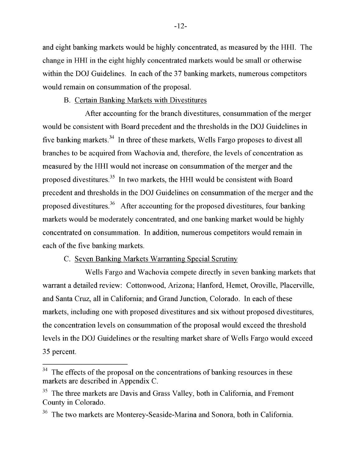and eight banking markets would be highly concentrated, as measured by the HHI. The change in HHI in the eight highly concentrated markets would be small or otherwise within the DOJ Guidelines. In each of the 37 banking markets, numerous competitors would remain on consummation of the proposal.

#### B. Certain Banking Markets with Divestitures

After accounting for the branch divestitures, consummation of the merger would be consistent with Board precedent and the thresholds in the DOJ Guidelines in five banking markets.<sup>34</sup> In three of these markets, Wells Fargo proposes to divest all branches to be acquired from Wachovia and, therefore, the levels of concentration as measured by the HHI would not increase on consummation of the merger and the proposed divestitures.<sup>35</sup> In two markets, the HHI would be consistent with Board precedent and thresholds in the DOJ Guidelines on consummation of the merger and the proposed divestitures.<sup>36</sup> After accounting for the proposed divestitures, four banking markets would be moderately concentrated, and one banking market would be highly concentrated on consummation. In addition, numerous competitors would remain in each of the five banking markets.

#### markets are described in Appendix Constants Constitution of the Constitution of the markets, Western markets, W Fargo proposes to diverge proposes to be acquired from Warner from Warner from Warner from Warner from Warner Schultz

Wells Fargo and Wachovia compete directly in seven banking markets that the merger and the proposed divestitures.<sup>35</sup> [Footnote 35. The three med review: Cottonwood, Arizona; Haniord, Hemet, Orovine, Piacer and Santa Cruz, all in California; and Grand Junction, Colorado. In each of these Board precedent and thresholds in the DOJ Guidelines on consummation of the merger ding one with proposed divestitures and six without proposed divestitures,  $\frac{1}{2}$  and  $\frac{1}{2}$  are some immustion of the proposal would exceed the threshold diverse on concentration of the proposer would checke the threshold levels in the DOJ Guidelines or the resulting market share of Wells Fargo would exceed  $\sum_{i=1}^{\infty}$ 

 $34$  The effects of the proposal on the concentrations of banking resources in these markets are described in Appendix C.

 $35$  The three markets are Davis and Grass Valley, both in California, and Fremont County in Colorado. markets, including one with proposed divestitures and six without proposed divestitures,

the concentration levels on consummation of the proposal would exceed the proposal would exceed the threshold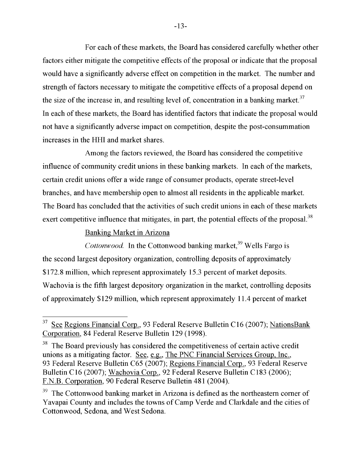For each of these markets, the Board has considered carefully whether other factors either mitigate the competitive effects of the proposal or indicate that the proposal would have a significantly adverse effect on competition in the market. The number and strength of factors necessary to mitigate the competitive effects of a proposal depend on the size of the increase in, and resulting level of, concentration in a banking market.<sup>37</sup> In each of these markets, the Board has identified factors that indicate the proposal would not have a significantly adverse impact on competition, despite the post-consummation increases in the HHI and market shares.

Lenou of the footom noviewed the Board has considered the commetitive Among the factors reviewed, the board has considered the competitive influence of community credit unions in these banking markets. In each of the markets,  $\begin{bmatrix} 1 & 0 \\ 0 & 1 \end{bmatrix}$  the factors reviewed, the competitive the competitive the competitive the competitive the competitive term of  $\mathbf{I}$ unions offer a wide range of consumer products, operate street-level branches, and have membership open to almost all residents in the applicable market. branches, and have membership open to almost all residents in the applicable market. s concluded that the activities of such credit unions in each of these markets exert competitive influence that mitigates, in part, the potential effects of the proposal.<sup>38</sup>

#### $\mathbf{F}$  begin the Board previously has considered the competitiveness of competitiveness of competitiveness of certain active  $\mathbf{F}$ can mitigating factor. See, e.g., The PNC Financial Services Group, Inc., The PNC Financial Services Group, Inc., Inc., Inc., Inc., Inc., Inc., Inc., Inc., Inc., Inc., Inc., Inc., Inc., Inc., Inc., Inc., Inc., Inc., Inc.,

Cottonwood. In the Cottonwood banking market,<sup>39</sup> Wells Fargo is Reserve Bulletin C16 (2007); Wachovia Corp., 92 Federal Reserve Bulletin gest depository organization, controlling deposits of approximately  $n$  which represent approxim *Cortificial approximately 19.5 percent of market deposits.* of approximately \$129 million, which represent approximately 11.4 percent of market

and the cities of Cottonwood, Sedona, Sedona, Sedona, Sedona, Sedona, Sedona, Sedona, Sedona. End footnote.<br>[1] End footnote.]

<sup>37</sup> See Regions Financial Corp., 93 Federal Reserve Bulletin C16 (2007); Nations Bank Corporation, 84 Federal Reserve Bulletin 129 (1998).

deposits. Was a served fined the game of the marge of goutning active and the previously has considered the competitiveness of certain active credit unions as a mitigating factor. See, e.g., The PNC Financial Services Group, Inc., 93 Federal Reserve Bulletin C65 (2007); Regions Financial Corp., 93 Federal Reserve Bulletin C16 (2007); Wachovia Corp., 92 Federal Reserve Bulletin C183 (2006); F.N.B. Corporation, 90 Federal Reserve Bulletin 481 (2004).

<sup>39</sup> The Cottonwood banking market in Arizona is defined as the northeastern corner of Yavapai County and includes the towns of Camp Verde and Clarkdale and the cities of Cottonwood, Sedona, and West Sedona.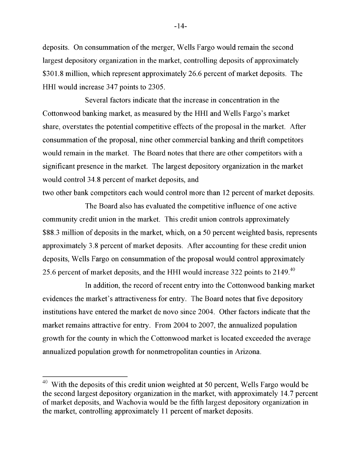deposits. On consummation of the merger, Wells Fargo would remain the second largest depository organization in the market, controlling deposits of approximately \$301.8 million, which represent approximately 26.6 percent of market deposits. The HHI would increase 347 points to 2305.

Several factors indicate that the increase in concentration in the Cottonwood banking market, as measured by the HHI and Wells Fargo's market share, overstates the potential competitive effects of the proposal in the market. After consummation of the proposal, nine other commercial banking and thrift competitors would remain in the market. The Board notes that there are other competitors with a significant presence in the market. The largest depository organization in the market would control 34.8 percent of market deposits, and

two other bank competitors each would control more than 12 percent of market deposits.

The Board also has evaluated the competitive influence of one active community credit union in the market. This credit union controls approximately \$88.3 million of deposits in the market, which, on a 50 percent weighted basis, represents approximately 3.8 percent of market deposits. After accounting for these credit union deposits, Wells Fargo on consummation of the proposal would control approximately 25.6 percent of market deposits, and the HHI would increase 322 points to  $2149<sup>40</sup>$ 

 $\frac{1}{2}$ In addition, the record of recent entry mid the Cottonwood banking market evidences the market's attractiveness for entry. The Board notes that five depository  $\overline{a}$  market deposits, and Wachovia would be the fifth largest depository would be the fifth largest depository would be the fifth largest depository would be the fifth largest depository would be the fifth largest dep We entered the market de novo since  $2004$ . Uther factors indicate that the market remains attractive for entry. From 2004 to 2007, the annualized population growth for the county in which the Cottonwood market is located exceeded the average annualized population growth for nonmetropolitan counties in Arizona.

market remains at tractive for entry. From 2004 to 2004 to 2004 to 2004 to 2004 to 2007, the annualized popula

 $-14-$ 

<sup>&</sup>lt;sup>40</sup> With the deposits of this credit union weighted at 50 percent, Wells Fargo would be the second largest depository organization in the market, with approximately 14.7 percent of market deposits, and Wachovia would be the fifth largest depository organization in the market, controlling approximately 11 percent of market deposits.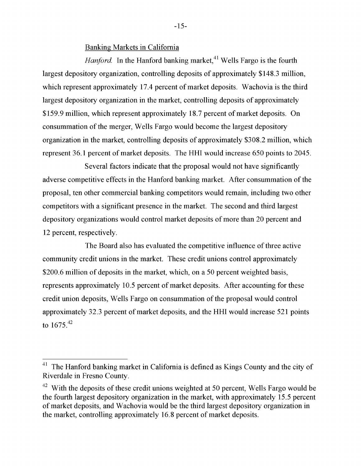Banking Markets in California

*Hanford.* In the Hanford banking market,  $41$  Wells Fargo is the fourth largest depository organization, controlling deposits of approximately \$148.3 million, which represent approximately 17.4 percent of market deposits. Wachovia is the third largest depository organization in the market, controlling deposits of approximately \$159.9 million, which represent approximately 18.7 percent of market deposits. On consummation of the merger, Wells Fargo would become the largest depository organization in the market, controlling deposits of approximately \$308.2 million, which represent 36.1 percent of market deposits. The HHI would increase 650 points to 2045.

Riverdale in Fresno County. End footnote.] Wells Fargo is the fourth  $\mathcal{S}$ cveral factors mulcate that the proposar would not have significantly adverse competitive effects in the Hanford banking market. After consummation of the largest depository organization in the market, controlling deposits of approximately other commercial banking competitors would remain, including two other competitors with a significant presence in the market. The second and third largest organization in the market, controlling deposits of approximately  $\mathcal{O}$ . ganizations would control market deposits of more than 20 percent and 12 percent, respectively.

The Board also has evaluated the competitive influence of three active. community credit unions in the market. These credit unions control approximately \$200.6 million of deposits in the market, which, on a 50 percent weighted basis, represents approximately 10.5 percent of market deposits. After accounting for these credit union deposits, Wells Fargo on consummation of the proposal would control  $T<sub>1</sub>$  32.3 percent of market denosits, and the HHI would increase 521 point component of munity approxim, and the fifth would increase control points to  $1675^{42}$ 

 $-15-$ 

 $t_{\rm 1}$  $T<sup>1</sup>$  The Hanford banking market in California is defined as Kings County and the cit Riverdale in Fresno County.

 $42$  With the deposits of these credit unions weighted at 50 percent, Wells Fargo would be the fourth largest depository organization in the market, with approximately 15.5 percent of market deposits, and Wachovia would be the third largest depository organization in the market, controlling approximately 16.8 percent of market deposits.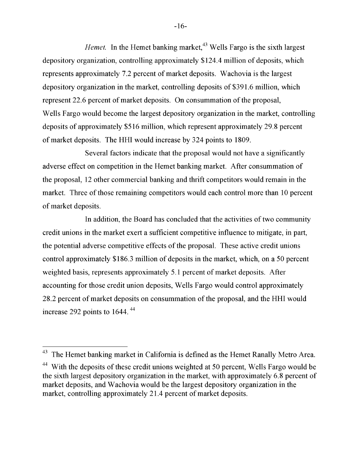*Hemet.* In the Hemet banking market,<sup>43</sup> Wells Fargo is the sixth largest depository organization, controlling approximately \$124.4 million of deposits, which represents approximately 7.2 percent of market deposits. Wachovia is the largest depository organization in the market, controlling deposits of \$391.6 million, which represent 22.6 percent of market deposits. On consummation of the proposal, Wells Fargo would become the largest depository organization in the market, controlling deposits of approximately \$516 million, which represent approximately 29.8 percent of market deposits. The HHI would increase by 324 points to 1809.

 $E_{\text{general}}$  footnote. In the statistic fact the sympassed such the sixth largest stress  $\sigma$ everal factors mulcate that the proposar would not have a significantly adverse effect on competition in the Hemet banking market. After consummation of depository organization in the market organization in the market of  $\frac{3}{2}$  $12$  other commercial banking and thrift competitors would remain in the market. Three of those remaining competitors would each control more than 10 percent deposits of approximately  $\mathcal{L}$  million, which represent approximately 29.8 percent approximately 29.8 percent approximately 29.8 percent approximately 29.8 percent approximately 29.8 percent approximately 29.8 percent  $\overline{\text{cost}}$ . The HHI would increase by 324 points to 1809.

In addition, the Board has concluded that the activities of two community credit unions in the market exert a sufficient competitive influence to mitigate, in part, the potential adverse competitive effects of the proposal. These active credit unions control approximately \$186.3 million of deposits in the market, which, on a 50 percent weighted basis, represents approximately 5.1 percent of market deposits. After  $\mathbf r$  those credit union denosits Wells Eargo would control annroximately credit which upposite, we have a sufficient competitive influence to mitigate, in part, 28.2 percent of market deposits on consummation of the proposal, and the HHI would increase  $292$  points to  $1644$ .  $^{44}$  $m_{\text{H}}$  basis, represents approximately  $5.1$  percent of matrix of matrix of matrix of matrix of matrix of matrix of matrix of matrix of matrix of matrix of matrix of matrix of matrix of matrix of matrix of matrix of ma

 $\overline{\phantom{a}}$  then  $\overline{\phantom{a}}$  is contained at  $\overline{\phantom{a}}$  at  $\overline{\phantom{a}}$  beginning to defined at the Hemet Denet  $t$  bahying market in Cambrina is defined as the fremer Kanally metro  $A$ rea.

<sup>&</sup>lt;sup>44</sup> With the deposits of these credit unions weighted at 50 percent, Wells Fargo would be the sixth largest depository organization in the market, with approximately 6.8 percent of market deposits, and Wachovia would be the largest depository organization in the market, controlling approximately 21.4 percent of market deposits.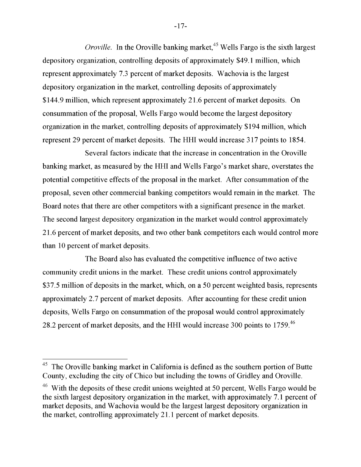*Oroville.* In the Oroville banking market,  $45$  Wells Fargo is the sixth largest depository organization, controlling deposits of approximately \$49.1 million, which represent approximately 7.3 percent of market deposits. Wachovia is the largest depository organization in the market, controlling deposits of approximately \$144.9 million, which represent approximately 21.6 percent of market deposits. On consummation of the proposal, Wells Fargo would become the largest depository organization in the market, controlling deposits of approximately \$194 million, which represent 29 percent of market deposits. The HHI would increase 317 points to 1854.

County Contony in diaste that the increase in concentration in the Onexill  $\sigma$  and  $\sigma$  and  $\sigma$  and  $\sigma$  and  $\sigma$  increase in concentration in banking market, as measured by the HHI and Wells Fargo's market share, overstates the represent approximately  $7.3$  percent of market deposits. We have deposits of  $\alpha$ petitive effects of the proposal in the market. After consummation of the proposal, seven other commercial banking competitors would remain in the market. The consummation of the proposal, Wells Fargo would become the largest depository hat there are other competitors with a significant presence in the market. The second largest depository organization in the market would control approximately 21.6 percent of market deposits, and two other bank competitors each would control more than 10 percent of market deposits.

The Board also has evaluated the competitive influence of two active. community credit unions in the market. These credit unions control approximately \$37.5 million of deposits in the market, which, on a 50 percent weighted basis, represents approximately 2.7 percent of market deposits. After accounting for these credit union deposits, Wells Fargo on consummation of the proposal would control approximately 28 2 percent of market deposits, and The Board also has the complete interverse  $\frac{1}{200}$  points to  $\frac{1}{200}$ .

approximately 2.7 percent of market deposits. After accounting for the second credit union  $\mathcal{L}$ 

 $-17-$ 

 $45$  The Oroville banking market in California is defined as the southern portion of Butte County, excluding the city of Chico but including the towns of Gridley and Oroville. Forting the vity of only one invitating the terms of order y and sterms

eposits of these credit unions weighted at 50 percent, Wells Fargo would be  $\epsilon$ the sixth largest depository organization in the market, with approximately  $7.1$  percent of market deposits, and Wachovia would be the largest largest depository organization in the market, controlling approximately 21.1 percent of market deposits.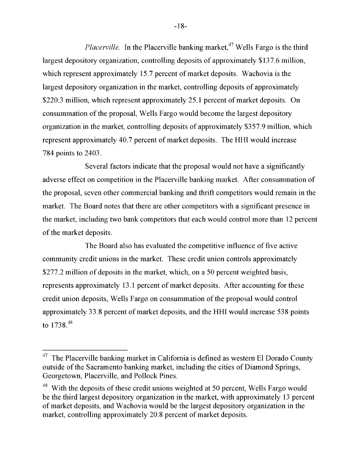*Placerville.* In the Placerville banking market,<sup>47</sup> Wells Fargo is the third largest depository organization, controlling deposits of approximately \$137.6 million, which represent approximately 15.7 percent of market deposits. Wachovia is the largest depository organization in the market, controlling deposits of approximately \$220.3 million, which represent approximately 25.1 percent of market deposits. On consummation of the proposal, Wells Fargo would become the largest depository organization in the market, controlling deposits of approximately \$357.9 million, which represent approximately 40.7 percent of market deposits. The HHI would increase  $2403$ .

County fectors indicate that the nuon east would not have a cionificantly  $\mathcal{D}$ everal factors muicate that the proposar would not have a significa adverse effect on competition in the Placerville banking market. After consummation of of approximately \$137.6 million, which represent approximately 15.7 percent of market deposits of the commercial banking and thrift competitors would remain in the market. The Board notes that there are other competitors with a significant presence in of market deposits. On consummation of the proposal,  $\mathcal{L}$ cluding two bank competitors that each would control more than 12 percent  $357.9$  million, which represent approximately 40.7 percent of market deposits.  $\mathbf{L}$ 

The Board also has evaluated the competitive influence of five active community credit unions in the market. These credit union controls approximately \$277.2 million of deposits in the market, which, on a 50 percent weighted basis, represents approximately 13.1 percent of market deposits. After accounting for these credit union deposits, Wells Fargo on consummation of the proposal would control approximately 33.8 percent of market deposits, and the HHI would increase 538 points to  $1738^{48}$ 

represents approximately 13.1 percent of market deposits. After accounting for these 47 ville banking market in California is defined as western El Dorado County outside of the Sacramento banking market, including the cities of Diamond Springs, Georgetown, Placerville, and Pollock Pines.

 $48$  With the deposits of these credit unions weighted at 50 percent, Wells Fargo would be the third largest depository organization in the market, with approximately 13 percent of market deposits, and Wachovia would be the largest depository organization in the market, controlling approximately 20.8 percent of market deposits.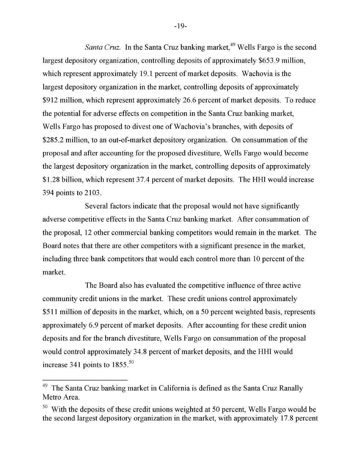*Santa Cruz.* In the Santa Cruz banking market,  $49$  Wells Fargo is the second largest depository organization, controlling deposits of approximately \$653.9 million, which represent approximately 19.1 percent of market deposits. Wachovia is the largest depository organization in the market, controlling deposits of approximately \$912 million, which represent approximately 26.6 percent of market deposits. To reduce the potential for adverse effects on competition in the Santa Cruz banking market, Wells Fargo has proposed to divest one of Wachovia's branches, with deposits of \$285.2 million, to an out-of-market depository organization. On consummation of the proposal and after accounting for the proposed divestiture, Wells Fargo would become the largest depository organization in the market, controlling deposits of approximately \$1.28 billion, which represent 37.4 percent of market deposits. The HHI would increase  $2103$ .

Metro Area. End footnote.<br>Nexus al footnote. It will not the second result for the second second second second second second second seco  $\mathcal{S}$ everal factors mulcate that the proposar would not have significantly adverse competitive effects in the Santa Cruz banking market. After consummation of largest depository organization in the market, controlling deposits of approximately  $12$  other commercial banking competitors would remain in the market. The Board notes that there are other competitors with a significant presence in the market,  $W$ ells Fargo has proposed to divest one of  $W$ achovia's branches, with deposits of  $W$ including three bank competitors that would each control more than 10 percent of the market.

The Board also has evaluated the competitive influence of three active community credit unions in the market. These credit unions control approximately  $$511$  million of deposits in the market, which, on a 50 percent weighted basis, represents approximately 6.9 percent of market deposits. After accounting for these credit union deposits and for the branch divestiture, Wells Fargo on consummation of the proposal would control approximately 34.8 percent of market deposits, and the HHI would increase 341 points to  $1855.^{50}$ 

 $-19-$ 

 $\overline{\hspace{1cm}}$ Cruz banking market in California is defined as the Santa Cruz Ranally Metro Area.

 $50$  With the deposits of these credit unions weighted at 50 percent, Wells Fargo would be the second largest depository organization in the market, with approximately 17.8 percent  $\mathcal{O}$  and  $\mathcal{O}$  percent of matrix  $\mathcal{O}$  and the HHI would have  $\mathcal{O}$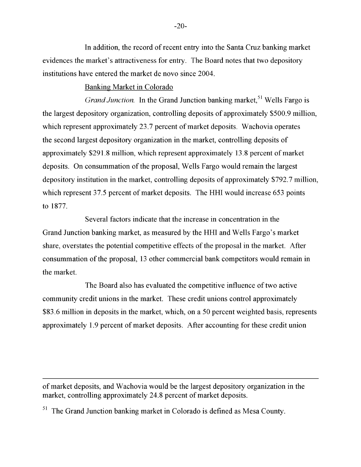In addition, the record of recent entry into the Santa Cruz banking market evidences the market's attractiveness for entry. The Board notes that two depository institutions have entered the market de novo since 2004.

## Banking Market in Colorado

*Grand Junction.* In the Grand Junction banking market,<sup>51</sup> Wells Fargo is the largest depository organization, controlling deposits of approximately \$500.9 million, which represent approximately 23.7 percent of market deposits. Wachovia operates the second largest depository organization in the market, controlling deposits of approximately \$291.8 million, which represent approximately 13.8 percent of market deposits. On consummation of the proposal, Wells Fargo would remain the largest depository institution in the market, controlling deposits of approximately \$792.7 million, which represent 37.5 percent of market deposits. The HHI would increase 653 points to 1877.

County. Englands in dianty that the increase in concentration in the  $\sigma$  deposits indicate that the increase in concentration in the Grand Junction banking market, as measured by the HHI and Wells Fargo's market  $t_{\text{tot}}$  depository organization in the market depository organization in the market, controlling deposits of  $\alpha$ res the potential competitive effects of the proposal in the market. After consummation of the proposal, 13 other commercial bank competitors would remain in depository institution in the market of approximately  $\mathbf{7}$ the market.

The Board also has evaluated the competitive influence of two active community credit unions in the market. These credit unions control approximately \$83.6 million in deposits in the market, which, on a 50 percent weighted basis, represents approximately 1.9 percent of market deposits. After accounting for these credit union

of market deposits, and Wachovia would be the largest depository organization in the market, controlling approximately 24.8 percent of market deposits.

<sup>51</sup> The Grand Junction banking market in Colorado is defined as Mesa County.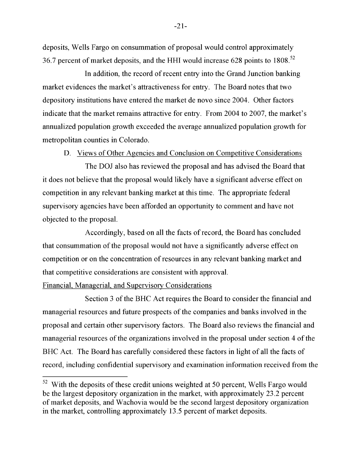deposits, Wells Fargo on consummation of proposal would control approximately 36.7 percent of market deposits, and the HHI would increase 628 points to  $1808$ <sup>52</sup>

 $\mathbf{F}_{\mathbf{u}}$  is  $\mathbf{1}$   $\mathbf{1}$   $\mathbf{u}$  the deposits of the deposits of the  $\mathbf{f}_{\mathbf{u}}$  at  $\mathbf{f}_{\mathbf{u}}$  and  $\mathbf{f}_{\mathbf{u}}$  and  $\mathbf{f}_{\mathbf{u}}$  and  $\mathbf{f}_{\mathbf{u}}$  and  $\mathbf{f}_{\mathbf{u}}$  and  $\mathbf{f}_{\mathbf{u}}$  and  $\mathbf{f}_{\$ In addition, the record of recent entry into the Grand Junction banking market evidences the market's attractiveness for entry. The Board notes that two organization in the market deposits approximately  $\frac{1}{2}$ .5 percent of market deposits. depository inst indicate that the market remains attractive for entry. From 2004 to 2007, the market's annualized population growth exceeded the average annualized population growth for metropolitan counties in Colorado.

D. Views of Other Agencies and Conclusion on Competitive Considerations

The DOJ also has reviewed the proposal and has advised the Board that it does not believe that the proposal would likely have a significant adverse effect on competition in any relevant banking market at this time. The appropriate federal supervisory agencies have been afforded an opportunity to comment and have not objected to the proposal.

Accordingly, based on all the facts of record, the Board has concluded that consummation of the proposal would not have a significantly adverse effect on competition or on the concentration of resources in any relevant banking market and that competitive considerations are consistent with approval.

#### Financial, Managerial, and Supervisory Considerations

Section 3 of the BHC Act requires the Board to consider the financial and managerial resources and future prospects of the companies and banks involved in the proposal and certain other supervisory factors. The Board also reviews the financial and managerial resources of the organizations involved in the proposal under section 4 of the BHC Act. The Board has carefully considered these factors in light of all the facts of record, including confidential supervisory and examination information received from the

managerial resources of the organizations involved in the organizations in the proposal under section 4 of the

 $-21-$ 

<sup>&</sup>lt;sup>52</sup> With the deposits of these credit unions weighted at 50 percent, Wells Fargo would be the largest depository organization in the market, with approximately 23.2 percent of market deposits, and Wachovia would be the second largest depository organization in the market, controlling approximately 13.5 percent of market deposits.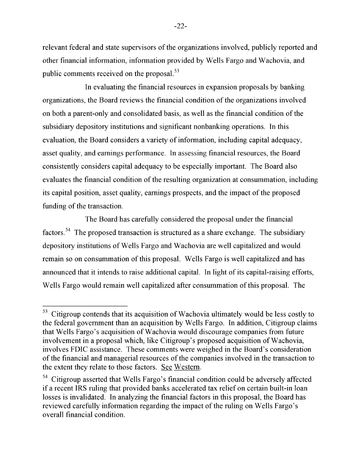relevant federal and state supervisors of the organizations involved, publicly reported and other financial information, information provided by Wells Fargo and Wachovia, and public comments received on the proposal. $^{53}$ 

actual of Wachovia ultimately would be less costly to the federal government than  $\mathbf{r} = \mathbf{r} \cdot \mathbf{r}$ in evaluating the financial resources in expansion proposals by ba organizations, the Board reviews the financial condition of the organizations involved proposal which, like Citigroup's proposed acquisition of Wachovia, involves FDIC on both a parent-only and consolidated basis, as well as the financial condition of the subsidiary depository institutions and significant nonbanking operations. In this  $t_{\rm F}$  relating the extension from the second form for  $s_{\rm F}$  . Finally,  $s_{\rm F}$ In the financial resources in the financial resources in expansion and proposality, asset quality, and earnings performance. In assessing financial resources, the Board consistently considers capital adequacy to be especially important. The Board also evaluates the financial condition of the resulting organization at consummation, including its capital position, asset quality, earnings prospects, and the impact of the proposed randing of the transaction.

The Board has carefully considered the proposal under the financial factors.<sup>54</sup> The proposed transaction is structured as a share exchange. The subsidiary depository institutions of Wells Fargo and Wachovia are well capitalized and would remain so on consummation of this proposal. Wells Fargo is well capitalized and has announced that it intends to raise additional capital. In light of its capital-raising efforts, factors.  $\frac{1}{2}$   $\frac{1}{2}$   $\frac{1}{2}$   $\frac{1}{2}$   $\frac{1}{2}$  constraints find that  $\frac{1}{2}$  condition condition condition condition condition  $\frac{1}{2}$   $\frac{1}{2}$   $\frac{1}{2}$   $\frac{1}{2}$   $\frac{1}{2}$   $\frac{1}{2}$   $\frac{1}{2}$   $\frac{1}{2}$  be a religion well explained after consummation of this propo

 $-22-$ 

analyzing the financial factors in this proposal, the financial factors in this proposal, the Board has been d<br>The Board has been discussed in the Board has been discussed in the Board has been discussed in the Board has 53 contends that its acquisition of Wachovia ultimately would be less co the federal government than an acquisition by Wells Fargo. In addition, Citigroup claims that Wells Fargo's acquisition of Wachovia would discourage companies from future involvement in a proposal which, like Citigroup's proposed acquisition of Wachovia, involves FDIC assistance. These comments were weighed in the Board's consideration of the financial and managerial resources of the companies involved in the transaction to the extent they relate to those factors. See Western.

<sup>&</sup>lt;sup>54</sup> Citigroup asserted that Wells Fargo's financial condition could be adversely affected if a recent IRS ruling that provided banks accelerated tax relief on certain built-in loan losses is invalidated. In analyzing the financial factors in this proposal, the Board has reviewed carefully information regarding the impact of the ruling on Wells Fargo's overall financial condition.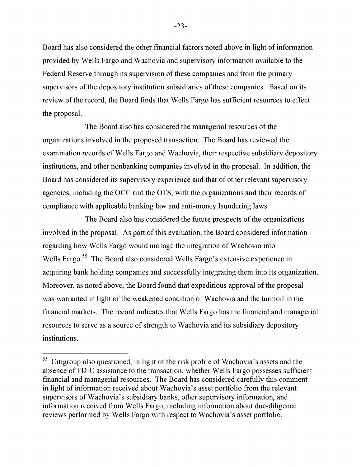Board has also considered the other financial factors noted above in light of information provided by Wells Fargo and Wachovia and supervisory information available to the Federal Reserve through its supervision of these companies and from the primary supervisors of the depository institution subsidiaries of these companies. Based on its review of the record, the Board finds that Wells Fargo has sufficient resources to effect the proposal.

The Board also has considered the managerial resources of the organizations involved in the proposed transaction. The Board has reviewed the examination records of Wells Fargo and Wachovia, their respective subsidiary depository institutions, and other nonbanking companies involved in the proposal. In addition, the Board has considered its supervisory experience and that of other relevant supervisory agencies, including the OCC and the OTS, with the organizations and their records of compliance with applicable banking law and anti-money laundering laws.

The Board also has considered the future prospects of the organizations involved in the proposal. As part of this evaluation, the Board considered information regarding how Wells Fargo would manage the integration of Wachovia into Wells Fargo.<sup>55</sup> The Board also considered Wells Fargo's extensive experience in acquiring bank holding companies and successfully integrating them into its organization. Moreover, as noted above, the Board found that expeditious approval of the proposal was warranted in light of the weakened condition of Wachovia and the turmoil in the financial markets. The record indicates that Wells Fargo has the financial and managerial resources to serve as a source of strength to Wachovia and its subsidiary depository institutions.

 $-23-$ 

managerial resources. The Board has considered carefully this comment of this comment of this comment of this comment of this comment of the Board of this comment of the Board of the Board of the Board of this comment of t ilso questioned, in light of the risk profile of Wachovia's assets and the absence of FDIC assistance to the transaction, whether Wells Fargo possesses sufficient financial and managerial resources. The Board has considered carefully this comment in light of information received about Wachovia's asset portfolio from the relevant supervisors of Wachovia's subsidiary banks, other supervisory information, and information received from Wells Fargo, including information about due-diligence reviews performed by Wells Fargo with respect to Wachovia's asset portfolio.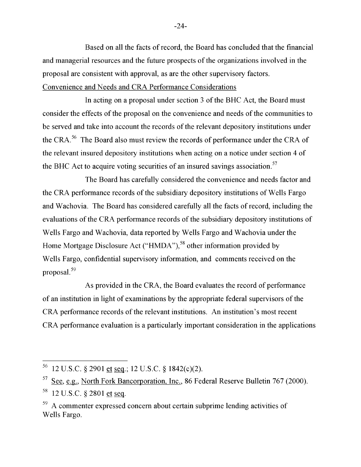Based on all the facts of record, the Board has concluded that the financial and managerial resources and the future prospects of the organizations involved in the proposal are consistent with approval, as are the other supervisory factors. Convenience and Needs and CRA Performance Considerations

In acting on a proposal under section 3 of the BHC Act, the Board must consider the effects of the proposal on the convenience and needs of the communities to be served and take into account the records of the relevant depository institutions under the CRA.<sup>56</sup> The Board also must review the records of performance under the CRA of the relevant insured depository institutions when acting on a notice under section 4 of  $t_{\rm{max}}$  is  $t_{\rm{max}}$  insurance when acting on a notice under section 4 of  $t_{\rm{max}}$ to acquire voting securities of an insured savings association.<sup>57</sup>

The Board bas carefully considered the convenience and needs factor and The Board has carefully considered the convenience and needs factor and the CRA performance records of the subsidiary depository institutions of Wells Fargo and Wachovia. The Board has considered carefully all the facts of record, including the evaluations of the CRA performance records of the subsidiary depository institutions of Wells Fargo and Wachovia, data reported by Wells Fargo and Wachovia under the Home Mortgage Disclosure Act ("HMDA"),<sup>58</sup> other information provided by Wells Fargo, confidential supervisory information, and comments received on the  $\text{proposal.}$ 

As provided in the CRA, the Board evaluates the record of performance. of an institution in light of examinations by the appropriate federal supervisors of the CRA performance records of the relevant institutions. An institution's most recent CRA performance evaluation is a particularly important consideration in the applications.

<sup>&</sup>lt;sup>56</sup> 12 U.S.C. § 2901 et seq.; 12 U.S.C. § 1842(c)(2).

 $57$  See, e.g., North Fork Bancorporation, Inc., 86 Federal Reserve Bulletin 767 (2000).  $58$  12 U.S.C. § 2801 et seq.

 $59$  A commenter expressed concern about certain subprime lending activities of Wells Fargo.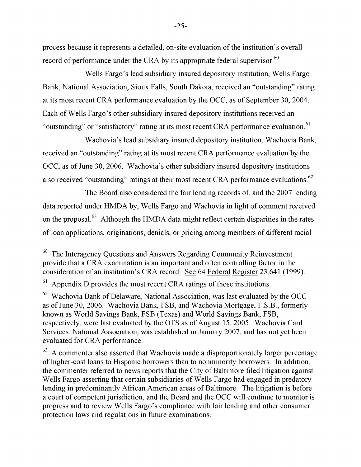process because it represents a detailed, on-site evaluation of the institution's overall record of performance under the CRA by its appropriate federal supervisor.<sup>60</sup>

 $\begin{bmatrix} \n\mathbf{W} & \mathbf{0} & \mathbf{0} & \mathbf{0} & \mathbf{0} & \mathbf{0} & \mathbf{0} & \mathbf{0} & \mathbf{0} & \mathbf{0} & \mathbf{0} & \mathbf{0} & \mathbf{0} & \mathbf{0} & \mathbf{0} & \mathbf{0} & \mathbf{0} & \mathbf{0} & \mathbf{0} & \mathbf{0} & \mathbf{0} & \mathbf{0} & \mathbf{0} & \mathbf{0} & \mathbf{0} & \mathbf{0} & \mathbf{0} & \mathbf{0} & \mathbf{0} & \mathbf{0} & \math$ wens raigo s iead subsidiary insured depository institution, wens ra Bank, National Association, Sioux Falls, South Dakota, received an "outstanding" rating End footnote.] ent CRA performance evaluation by the OCC, as of September 30, 2004. Each of Wells Fargo's other subsidiary insured depository institutions received an at  $\sigma$  is most recent CRA performance evaluation by the OCC, as of  $\sigma$ or "satisfactory" rating at its most recent CRA performance evaluation. <sup>Th</sup>

Wachovia's lead subsidiary insured depository institution Wachovia Raph wachovia s ieau subsidialy hisured depository histitution, wachovia Dank, received an "outstanding" rating at its most recent CRA performance evaluation by the no. 20, 2006, Wachovia's other subsidiary insured depository institutions rec $\sigma$ ,  $\sigma$ ,  $\sigma$   $\sigma$  and  $\sigma$  is once substanding insured depository institutions also received "outstanding" ratings at their most recent CRA performance evaluations.<sup>62</sup>

and  $\overline{c}$  recent ratio  $\overline{c}$  ratio  $\overline{c}$  ratio  $\overline{c}$  ratio  $\overline{c}$  recent can performance can performance control in  $\overline{c}$  ratio  $\overline{c}$  ratio  $\overline{c}$  ratio  $\overline{c}$  ratio  $\overline{c}$  ratio  $\overline{c}$  ratio The Board also considered the fair lending records of, and the  $2007$ data reported under HMDA by, Wells Fargo and Wachovia in light of comment received  $W$ al.  $\cdot$  Although the HMDA data might reflect certain disparities in the rates of loan applications, originations, denials, or pricing among members of different racial  $W_{\alpha}$  Card Services, National Association, was established in the service in the service in

January 2007, and has not yet been evaluated for CRA performance. End footnote.] gency Questions and Answers Regarding Community Reinvestment provide that a CRA examination is an important and often controlling factor in the consideration of an institution's CRA record. See 64 Federal Register 23,641 (1999).

Appendix D provides the most recent CRA ratings of those institutions. to provide the most recent order radius of those modellers.

 $\degree$  Wachovia Bank of Delaware, National Association, was last evaluated by the OCC as of June 30, 2006. Wachovia Bank, FSB, and Wachovia Mortgage, F.S.B., formerly known as World Savings Bank, FSB (Texas) and World Savings Bank, FSB, respectively, were last evaluated by the OTS as of August 15, 2005. Wachovia Card Services, National Association, was established in January 2007, and has not yet been evaluated for CRA performance.

 $63$  A commenter also asserted that Wachovia made a disproportionately larger percentage of higher-cost loans to Hispanic borrowers than to nonminority borrowers. In addition, the commenter referred to news reports that the City of Baltimore filed litigation against Wells Fargo asserting that certain subsidiaries of Wells Fargo had engaged in predatory lending in predominantly African American areas of Baltimore. The litigation is before a court of competent jurisdiction, and the Board and the OCC will continue to monitor is progress and to review Wells Fargo's compliance with fair lending and other consumer protection laws and regulations in future examinations.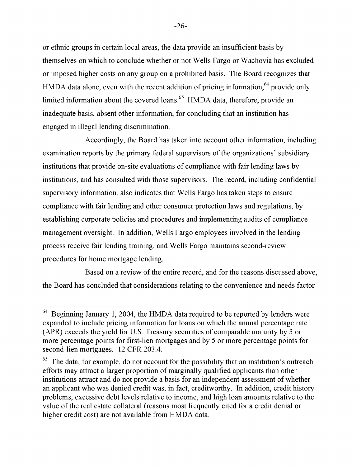or ethnic groups in certain local areas, the data provide an insufficient basis by themselves on which to conclude whether or not Wells Fargo or Wachovia has excluded or imposed higher costs on any group on a prohibited basis. The Board recognizes that HMDA data alone, even with the recent addition of pricing information, $64$  provide only limited information about the covered loans.<sup>65</sup> HMDA data, therefore, provide an inadequate basis, absent other information, for concluding that an institution has engaged in illegal lending discrimination.

 $\lambda$  coordinates the Deam loantelem into account other information in dediction Accordingly, the Doard has taken mo account other information, incluexamination reports by the primary federal supervisors of the organizations' subsidiary second-lien mortgages. 12 CFR 203.4. End footnote.] provide only institutions that provide on-site evaluations of compliance with fair lending laws by institutions, and has consulted with those supervisors. The record, including confidential proportion of marginally qualified applicants than other supervisory information, also indicates that Wells Fargo has taken steps to ensure compliance with fair lending and other consumer protection laws and requlations, by problems with the relating the other condition problems. The the regularistic, of establishing corporate policies and procedures and implementing audits of compliance menegoment cycreight. In eddition, Wells Ferge employees involved in the lending  $t$  inanagement oversignt. The addition, we us that go employees involved in the tending process receive fair lending training, and Wells Fargo maintains second-review procedures for home mortgage lending.

Based on a review of the entire record, and for the reasons discussed above, the Board has concluded that considerations relating to the convenience and needs factor

 $-26-$ 

 $64$  Beginning January 1, 2004, the HMDA data required to be reported by lenders were expanded to include pricing information for loans on which the annual percentage rate (APR) exceeds the yield for U.S. Treasury securities of comparable maturity by 3 or more percentage points for first-lien mortgages and by 5 or more percentage points for second-lien mortgages. 12 CFR 203.4.

 $65$  The data, for example, do not account for the possibility that an institution's outreach efforts may attract a larger proportion of marginally qualified applicants than other institutions attract and do not provide a basis for an independent assessment of whether an applicant who was denied credit was, in fact, creditworthy. In addition, credit history problems, excessive debt levels relative to income, and high loan amounts relative to the value of the real estate collateral (reasons most frequently cited for a credit denial or higher credit cost) are not available from HMDA data.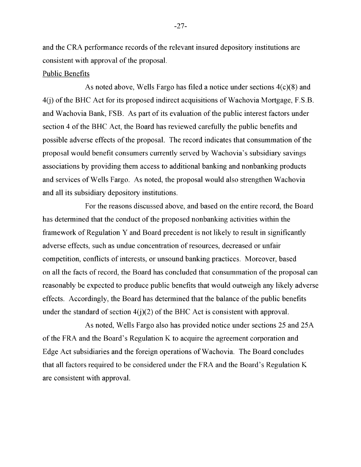and the CRA performance records of the relevant insured depository institutions are consistent with approval of the proposal.

#### Public Benefits

As noted above, Wells Fargo has filed a notice under sections 4(c)(8) and 4(j) of the BHC Act for its proposed indirect acquisitions of Wachovia Mortgage, F.S.B. and Wachovia Bank, FSB. As part of its evaluation of the public interest factors under section 4 of the BHC Act, the Board has reviewed carefully the public benefits and possible adverse effects of the proposal. The record indicates that consummation of the proposal would benefit consumers currently served by Wachovia's subsidiary savings associations by providing them access to additional banking and nonbanking products and services of Wells Fargo. As noted, the proposal would also strengthen Wachovia and all its subsidiary depository institutions.

For the reasons discussed above, and based on the entire record, the Board has determined that the conduct of the proposed nonbanking activities within the framework of Regulation Y and Board precedent is not likely to result in significantly adverse effects, such as undue concentration of resources, decreased or unfair competition, conflicts of interests, or unsound banking practices. Moreover, based on all the facts of record, the Board has concluded that consummation of the proposal can reasonably be expected to produce public benefits that would outweigh any likely adverse effects. Accordingly, the Board has determined that the balance of the public benefits under the standard of section  $4(j)(2)$  of the BHC Act is consistent with approval.

As noted, Wells Fargo also has provided notice under sections 25 and 25A of the FRA and the Board's Regulation K to acquire the agreement corporation and Edge Act subsidiaries and the foreign operations of Wachovia. The Board concludes that all factors required to be considered under the FRA and the Board's Regulation K are consistent with approval.

 $-27-$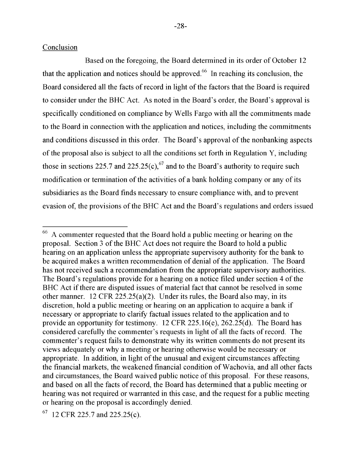Based on the foregoing, the Board determined in its order of October 12 that the application and notices should be approved.<sup>66</sup> In reaching its conclusion, the Board considered all the facts of record in light of the factors that the Board is required to consider under the BHC Act. As noted in the Board's order, the Board's approval is specifically conditioned on compliance by Wells Fargo with all the commitments made to the Board in connection with the application and notices, including the commitments and conditions discussed in this order. The Board's approval of the nonbanking aspects of the proposal also is subject to all the conditions set forth in Regulation Y, including those in sections 225.7 and 225.25(c), <sup>67</sup> and to the Board's authority to require such modification or termination of the activities of a bank holding company or any of its subsidiaries as the Board finds necessary to ensure compliance with, and to prevent evasion of, the provisions of the BHC Act and the Board's regulations and orders issued

hold a public hearing on an application unless the appropriate

<sup>66</sup> A commenter requested that the Board hold a public meeting or hearing on the proposal. Section 3 of the BHC Act does not require the Board to hold a public hearing on an application unless the appropriate supervisory authority for the bank to be acquired makes a written recommendation of denial of the application. The Board has not received such a recommendation from the appropriate supervisory authorities. that cannot be resolved in some other manner manner manner manner manner manner manner.  $f_{\text{2}}(z)$ Equiations provide for a nearing on a nonce fired under section  $40^\circ$ BHC Act if there are disputed issues of material fact that cannot be resolved in some other manner. 12 CFR  $225.25(a)(2)$ . Under its rules, the Board also may, in its discretion, hold a public meeting or hearing on an application to acquire a bank if necessary or appropriate to clarify factual issues related to the application and to provide an opportunity for testimony. 12 CFR 225.16(e), 262.25(d). The Board has considered carefully the commenter's requests in light of all the facts of record. The commenter's request fails to demonstrate why its written comments do not present its views adequately or why a meeting or hearing otherwise would be necessary or appropriate. In addition, in light of the unusual and exigent circumstances affecting the financial markets, the weakened financial condition of Wachovia, and all other facts and circumstances, the Board waived public notice of this proposal. For these reasons, and based on all the facts of record, the Board has determined that a public meeting or hearing was not required or warranted in this case, and the request for a public meeting or hearing on the proposal is accordingly denied.

<sup>12</sup> CFR 225.7 and  $225.25(c)$ .  $\mathcal{L}$ . the Board considered all the factors of  $\mathcal{L}$  record in light of the factors that the factors that the factors that the factors that the factors that the factors that the factors that the factors that the fac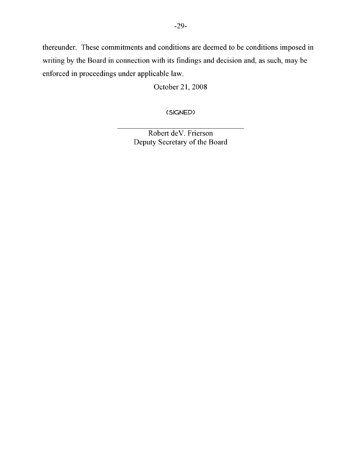thereunder. These commitments and conditions are deemed to be conditions imposed in writing by the Board in connection with its findings and decision and, as such, may be enforced in proceedings under applicable law.

October 21, 2008

(signed)

Robert deV. Frierson Deputy Secretary of the Board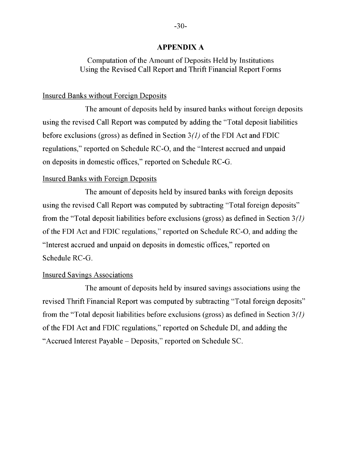#### **APPENDIX A**

# Computation of the Amount of Deposits Held by Institutions Using the Revised Call Report and Thrift Financial Report Forms

#### Insured Banks without Foreign Deposits

The amount of deposits held by insured banks without foreign deposits using the revised Call Report was computed by adding the "Total deposit liabilities before exclusions (gross) as defined in Section 3*(1)* of the FDI Act and FDIC regulations," reported on Schedule RC-O, and the "Interest accrued and unpaid on deposits in domestic offices," reported on Schedule RC-G.

#### Insured Banks with Foreign Deposits

The amount of deposits held by insured banks with foreign deposits using the revised Call Report was computed by subtracting "Total foreign deposits" from the "Total deposit liabilities before exclusions (gross) as defined in Section 3*(1)*  of the FDI Act and FDIC regulations," reported on Schedule RC-O, and adding the "Interest accrued and unpaid on deposits in domestic offices," reported on Schedule RC-G.

#### Insured Savings Associations

The amount of deposits held by insured savings associations using the revised Thrift Financial Report was computed by subtracting "Total foreign deposits" from the "Total deposit liabilities before exclusions (gross) as defined in Section 3*(1)*  of the FDI Act and FDIC regulations," reported on Schedule DI, and adding the "Accrued Interest Payable – Deposits," reported on Schedule SC.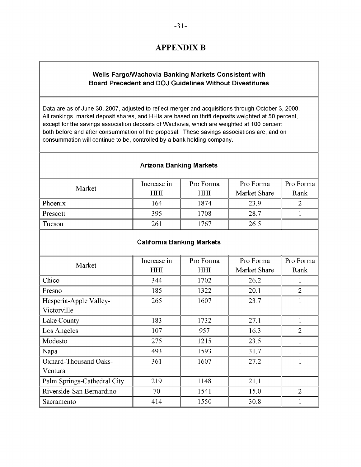# **APPENDIX B**

# **Wells Fargo/Wachovia Banking Markets Consistent with Board Precedent and DOJ Guidelines Without Divestitures**

Data are as of June 30, 2007, adjusted to reflect merger and acquisitions through October 3, 2008. All rankings, market deposit shares, and HHIs are based on thrift deposits weighted at 50 percent, except for the savings association deposits of Wachovia, which are weighted at 100 percent both before and after consummation of the proposal. These savings associations are, and on consummation will continue to be, controlled by a bank holding company.

#### **Arizona Banking Markets**

| Market   | Increase in | Pro Forma  | Pro Forma    | Pro Forma |
|----------|-------------|------------|--------------|-----------|
|          | <b>HHI</b>  | <b>HHI</b> | Market Share | Rank      |
| Phoenix  | 164         | 1874       | 23.9         |           |
| Prescott | 395         | 1708       | 28.7         |           |
| Tucson   | 261         | 1767       | 26.5         |           |

#### **Californi California Banking Markets**

| Market                      | Increase in | Pro Forma  | Pro Forma    | Pro Forma      |
|-----------------------------|-------------|------------|--------------|----------------|
|                             | <b>HHI</b>  | <b>HHI</b> | Market Share | Rank           |
| Chico                       | 344         | 1702       | 26.2         |                |
| Fresno                      | 185         | 1322       | 20.1         | $\overline{2}$ |
| Hesperia-Apple Valley-      | 265         | 1607       | 23.7         |                |
| Victorville                 |             |            |              |                |
| Lake County                 | 183         | 1732       | 27.1         | 1              |
| Los Angeles                 | 107         | 957        | 16.3         | $\overline{2}$ |
| Modesto                     | 275         | 1215       | 23.5         |                |
| Napa                        | 493         | 1593       | 31.7         |                |
| Oxnard-Thousand Oaks-       | 361         | 1607       | 27.2         |                |
| Ventura                     |             |            |              |                |
| Palm Springs-Cathedral City | 219         | 1148       | 21.1         |                |
| Riverside-San Bernardino    | 70          | 1541       | 15.0         | 2              |
| Sacramento                  | 414         | 1550       | 30.8         |                |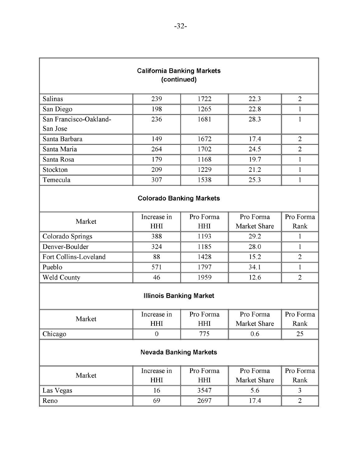| <b>California Banking Markets</b><br>(continued) |                                 |            |                        |                |
|--------------------------------------------------|---------------------------------|------------|------------------------|----------------|
| Salinas                                          | 239                             | 1722       | 22.3<br>$\overline{2}$ |                |
| San Diego                                        | 198                             | 1265       | 22.8                   | 1              |
| San Francisco-Oakland-<br>San Jose               | 236                             | 1681       | 28.3<br>1              |                |
| Santa Barbara                                    | 149                             | 1672       | 17.4                   | $\overline{2}$ |
| Santa Maria                                      | 264                             | 1702       | 24.5                   | $\overline{2}$ |
| Santa Rosa                                       | 179                             | 1168       | 19.7                   | $\mathbf{1}$   |
| Stockton                                         | 209                             | 1229       | 21.2                   | $\mathbf{1}$   |
| Temecula                                         | 307                             | 1538       | 25.3                   | $\mathbf{1}$   |
|                                                  | <b>Colorado Banking Markets</b> |            |                        |                |
| Market                                           | Increase in                     | Pro Forma  | Pro Forma              | Pro Forma      |
|                                                  | HHI                             | <b>HHI</b> | Market Share           | Rank           |
| Colorado Springs                                 | 388                             | 1193       | 29.2<br>$\mathbf{1}$   |                |
| Denver-Boulder                                   | 324                             | 1185       | 28.0<br>1              |                |
| Fort Collins-Loveland                            | 88                              | 1428       | 15.2<br>$\overline{2}$ |                |
| Pueblo                                           | 571                             | 1797       | 34.1<br>$\mathbf{1}$   |                |
| <b>Weld County</b>                               | 46                              | 1959       | 12.6<br>$\overline{2}$ |                |
| <b>Illinois Banking Market</b>                   |                                 |            |                        |                |
| Market                                           | Increase in                     | Pro Forma  | Pro Forma              | Pro Forma      |
|                                                  | HHI                             | HHI        | Market Share           | Rank           |
| Chicago                                          | $\overline{0}$                  | 775        | 0.6                    | 25             |
| <b>Nevada Banking Markets</b>                    |                                 |            |                        |                |
| Market                                           | Increase in                     | Pro Forma  | Pro Forma              | Pro Forma      |
|                                                  | HHI                             | HHI        | Market Share           | Rank           |
| Las Vegas                                        | 16                              | 3547       | 5.6                    | 3              |
| Reno                                             | 69                              | 2697       | 17.4                   | $\overline{2}$ |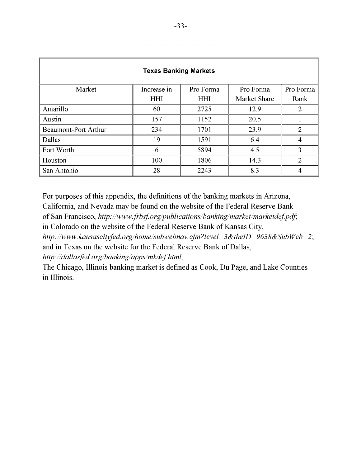| <b>Texas Banking Markets</b> |             |            |              |                             |
|------------------------------|-------------|------------|--------------|-----------------------------|
| Market                       | Increase in | Pro Forma  | Pro Forma    | Pro Forma                   |
|                              | <b>HHI</b>  | <b>HHI</b> | Market Share | Rank                        |
| Amarillo                     | 60          | 2725       | 12.9         | 2                           |
| Austin                       | 157         | 1152       | 20.5         |                             |
| <b>Beaumont-Port Arthur</b>  | 234         | 1701       | 23.9         | $\mathcal{D}_{\mathcal{L}}$ |
| Dallas                       | 19          | 1591       | 6.4          | 4                           |
| Fort Worth                   | 6           | 5894       | 4.5          | 3                           |
| Houston                      | 100         | 1806       | 14.3         | $\overline{2}$              |
| San Antonio                  | 28          | 2243       | 8.3          | 4                           |

For purposes of this appendix, the definitions of the banking markets in Arizona,

California, and Nevada may be found on the website of the Federal Reserve Bank

of San Francisco, *http://www.frbsf.org/publications/banking/market/marketdef.pdf*;

in Colorado on the website of the Federal Reserve Bank of Kansas City,

*http://www.kansascityfed.org/home/subwebnav.cfm?level=3&theID=9638&SubWeb=2*; and in Texas on the website for the Federal Reserve Bank of Dallas,

*http://dallasfed.org/banking/apps/mkdef.html*.

The Chicago, Illinois banking market is defined as Cook, Du Page, and Lake Counties in Illinois.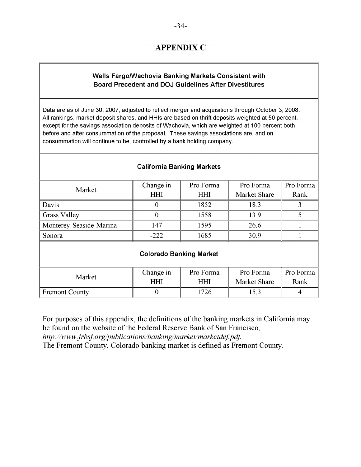# **APPENDIX C**

# **Wells Fargo/Wachovia Banking Markets Consistent with Board Precedent and DOJ Guidelines After Divestitures**

Data are as of June 30, 2007, adjusted to reflect merger and acquisitions through October 3, 2008. All rankings, market deposit shares, and HHIs are based on thrift deposits weighted at 50 percent, except for the savings association deposits of Wachovia, which are weighted at 100 percent both before and after consummation of the proposal. These savings associations are, and on consummation will continue to be, controlled by a bank holding company.

| Market                         | Change in  | Pro Forma | Pro Forma    | Pro Forma |  |
|--------------------------------|------------|-----------|--------------|-----------|--|
|                                | <b>HHI</b> | HНI       | Market Share | Rank      |  |
| Davis                          |            | 1852      | 18.3         |           |  |
| <b>Grass Valley</b>            |            | 1558      | 139          |           |  |
| Monterey-Seaside-Marina        | 147        | 1595      | 26.6         |           |  |
| Sonora                         | $-222$     | 1685      | 30.9         |           |  |
| <b>Colorado Banking Market</b> |            |           |              |           |  |

#### **California Banking Markets**

| Market                | Change in | Pro Forma | Pro Forma    | Pro Forma |
|-----------------------|-----------|-----------|--------------|-----------|
|                       | HHI       | HHI       | Market Share | Rank      |
| <b>Fremont County</b> |           | ' 726     |              |           |

For purposes of this appendix, the definitions of the banking markets in California may be found on the website of the Federal Reserve Bank of San Francisco, *http://www.frbsf.org/publications/banking/market/marketdef.pdf.*  The Fremont County, Colorado banking market is defined as Fremont County.